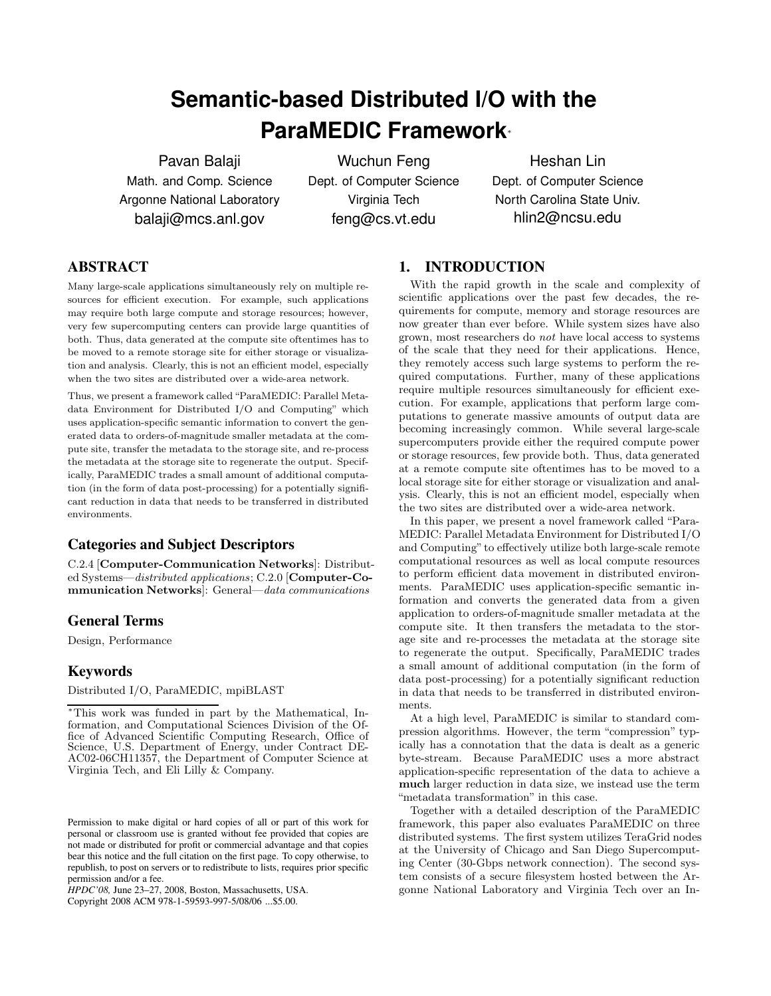# **Semantic-based Distributed I/O with the ParaMEDIC Framework**<sup>∗</sup>

Pavan Balaji Math. and Comp. Science Argonne National Laboratory balaji@mcs.anl.gov

Wuchun Feng Dept. of Computer Science Virginia Tech feng@cs.vt.edu

Heshan Lin Dept. of Computer Science North Carolina State Univ. hlin2@ncsu.edu

# **ABSTRACT**

Many large-scale applications simultaneously rely on multiple resources for efficient execution. For example, such applications may require both large compute and storage resources; however, very few supercomputing centers can provide large quantities of both. Thus, data generated at the compute site oftentimes has to be moved to a remote storage site for either storage or visualization and analysis. Clearly, this is not an efficient model, especially when the two sites are distributed over a wide-area network.

Thus, we present a framework called "ParaMEDIC: Parallel Metadata Environment for Distributed I/O and Computing" which uses application-specific semantic information to convert the generated data to orders-of-magnitude smaller metadata at the compute site, transfer the metadata to the storage site, and re-process the metadata at the storage site to regenerate the output. Specifically, ParaMEDIC trades a small amount of additional computation (in the form of data post-processing) for a potentially significant reduction in data that needs to be transferred in distributed environments.

# **Categories and Subject Descriptors**

C.2.4 [Computer-Communication Networks]: Distributed Systems—distributed applications; C.2.0 [Computer-Communication Networks]: General—data communications

# **General Terms**

Design, Performance

# **Keywords**

Distributed I/O, ParaMEDIC, mpiBLAST

Copyright 2008 ACM 978-1-59593-997-5/08/06 ...\$5.00.

# **1. INTRODUCTION**

With the rapid growth in the scale and complexity of scientific applications over the past few decades, the requirements for compute, memory and storage resources are now greater than ever before. While system sizes have also grown, most researchers do not have local access to systems of the scale that they need for their applications. Hence, they remotely access such large systems to perform the required computations. Further, many of these applications require multiple resources simultaneously for efficient execution. For example, applications that perform large computations to generate massive amounts of output data are becoming increasingly common. While several large-scale supercomputers provide either the required compute power or storage resources, few provide both. Thus, data generated at a remote compute site oftentimes has to be moved to a local storage site for either storage or visualization and analysis. Clearly, this is not an efficient model, especially when the two sites are distributed over a wide-area network.

In this paper, we present a novel framework called "Para-MEDIC: Parallel Metadata Environment for Distributed I/O and Computing" to effectively utilize both large-scale remote computational resources as well as local compute resources to perform efficient data movement in distributed environments. ParaMEDIC uses application-specific semantic information and converts the generated data from a given application to orders-of-magnitude smaller metadata at the compute site. It then transfers the metadata to the storage site and re-processes the metadata at the storage site to regenerate the output. Specifically, ParaMEDIC trades a small amount of additional computation (in the form of data post-processing) for a potentially significant reduction in data that needs to be transferred in distributed environments.

At a high level, ParaMEDIC is similar to standard compression algorithms. However, the term "compression" typically has a connotation that the data is dealt as a generic byte-stream. Because ParaMEDIC uses a more abstract application-specific representation of the data to achieve a much larger reduction in data size, we instead use the term "metadata transformation" in this case.

Together with a detailed description of the ParaMEDIC framework, this paper also evaluates ParaMEDIC on three distributed systems. The first system utilizes TeraGrid nodes at the University of Chicago and San Diego Supercomputing Center (30-Gbps network connection). The second system consists of a secure filesystem hosted between the Argonne National Laboratory and Virginia Tech over an In-

<sup>∗</sup>This work was funded in part by the Mathematical, Information, and Computational Sciences Division of the Office of Advanced Scientific Computing Research, Office of Science, U.S. Department of Energy, under Contract DE-AC02-06CH11357, the Department of Computer Science at Virginia Tech, and Eli Lilly & Company.

Permission to make digital or hard copies of all or part of this work for personal or classroom use is granted without fee provided that copies are not made or distributed for profit or commercial advantage and that copies bear this notice and the full citation on the first page. To copy otherwise, to republish, to post on servers or to redistribute to lists, requires prior specific permission and/or a fee.

*HPDC'08,* June 23–27, 2008, Boston, Massachusetts, USA.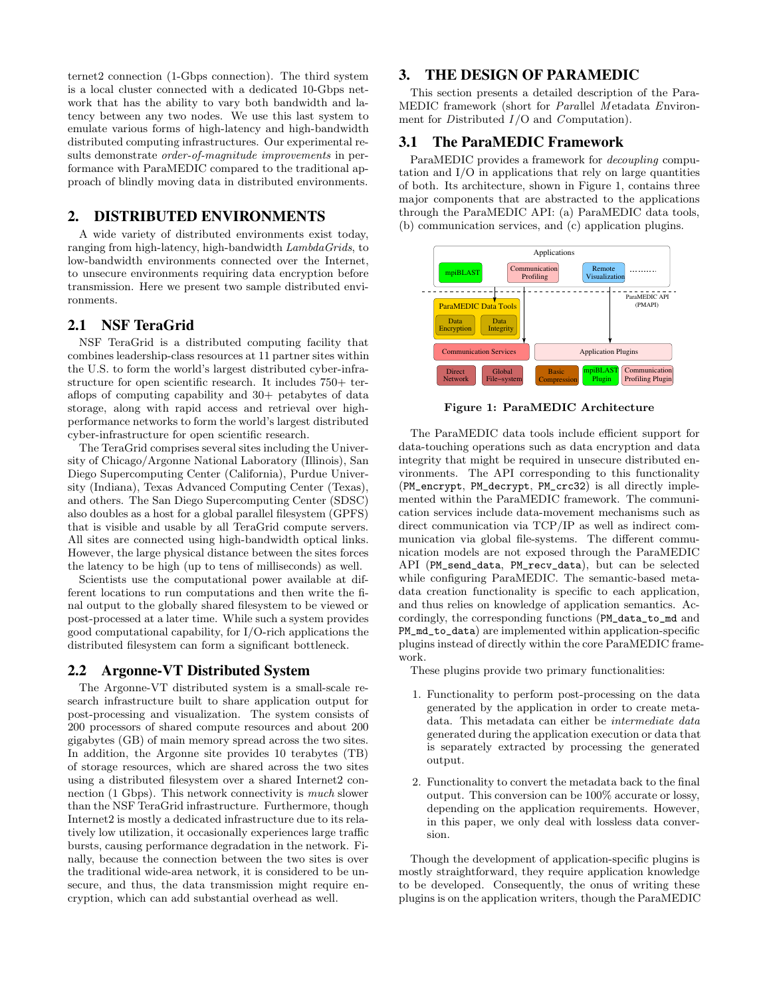ternet2 connection (1-Gbps connection). The third system is a local cluster connected with a dedicated 10-Gbps network that has the ability to vary both bandwidth and latency between any two nodes. We use this last system to emulate various forms of high-latency and high-bandwidth distributed computing infrastructures. Our experimental results demonstrate *order-of-magnitude improvements* in performance with ParaMEDIC compared to the traditional approach of blindly moving data in distributed environments.

## **2. DISTRIBUTED ENVIRONMENTS**

A wide variety of distributed environments exist today, ranging from high-latency, high-bandwidth LambdaGrids, to low-bandwidth environments connected over the Internet, to unsecure environments requiring data encryption before transmission. Here we present two sample distributed environments.

## **2.1 NSF TeraGrid**

NSF TeraGrid is a distributed computing facility that combines leadership-class resources at 11 partner sites within the U.S. to form the world's largest distributed cyber-infrastructure for open scientific research. It includes 750+ teraflops of computing capability and 30+ petabytes of data storage, along with rapid access and retrieval over highperformance networks to form the world's largest distributed cyber-infrastructure for open scientific research.

The TeraGrid comprises several sites including the University of Chicago/Argonne National Laboratory (Illinois), San Diego Supercomputing Center (California), Purdue University (Indiana), Texas Advanced Computing Center (Texas), and others. The San Diego Supercomputing Center (SDSC) also doubles as a host for a global parallel filesystem (GPFS) that is visible and usable by all TeraGrid compute servers. All sites are connected using high-bandwidth optical links. However, the large physical distance between the sites forces the latency to be high (up to tens of milliseconds) as well.

Scientists use the computational power available at different locations to run computations and then write the final output to the globally shared filesystem to be viewed or post-processed at a later time. While such a system provides good computational capability, for I/O-rich applications the distributed filesystem can form a significant bottleneck.

## **2.2 Argonne-VT Distributed System**

The Argonne-VT distributed system is a small-scale research infrastructure built to share application output for post-processing and visualization. The system consists of 200 processors of shared compute resources and about 200 gigabytes (GB) of main memory spread across the two sites. In addition, the Argonne site provides 10 terabytes (TB) of storage resources, which are shared across the two sites using a distributed filesystem over a shared Internet2 connection (1 Gbps). This network connectivity is much slower than the NSF TeraGrid infrastructure. Furthermore, though Internet2 is mostly a dedicated infrastructure due to its relatively low utilization, it occasionally experiences large traffic bursts, causing performance degradation in the network. Finally, because the connection between the two sites is over the traditional wide-area network, it is considered to be unsecure, and thus, the data transmission might require encryption, which can add substantial overhead as well.

## **3. THE DESIGN OF PARAMEDIC**

This section presents a detailed description of the Para-MEDIC framework (short for Parallel Metadata Environment for Distributed  $I/O$  and Computation).

#### **3.1 The ParaMEDIC Framework**

ParaMEDIC provides a framework for decoupling computation and I/O in applications that rely on large quantities of both. Its architecture, shown in Figure 1, contains three major components that are abstracted to the applications through the ParaMEDIC API: (a) ParaMEDIC data tools, (b) communication services, and (c) application plugins.



Figure 1: ParaMEDIC Architecture

The ParaMEDIC data tools include efficient support for data-touching operations such as data encryption and data integrity that might be required in unsecure distributed environments. The API corresponding to this functionality (PM\_encrypt, PM\_decrypt, PM\_crc32) is all directly implemented within the ParaMEDIC framework. The communication services include data-movement mechanisms such as direct communication via TCP/IP as well as indirect communication via global file-systems. The different communication models are not exposed through the ParaMEDIC API (PM\_send\_data, PM\_recv\_data), but can be selected while configuring ParaMEDIC. The semantic-based metadata creation functionality is specific to each application, and thus relies on knowledge of application semantics. Accordingly, the corresponding functions (PM\_data\_to\_md and PM\_md\_to\_data) are implemented within application-specific plugins instead of directly within the core ParaMEDIC framework.

These plugins provide two primary functionalities:

- 1. Functionality to perform post-processing on the data generated by the application in order to create metadata. This metadata can either be intermediate data generated during the application execution or data that is separately extracted by processing the generated output.
- 2. Functionality to convert the metadata back to the final output. This conversion can be 100% accurate or lossy, depending on the application requirements. However, in this paper, we only deal with lossless data conversion.

Though the development of application-specific plugins is mostly straightforward, they require application knowledge to be developed. Consequently, the onus of writing these plugins is on the application writers, though the ParaMEDIC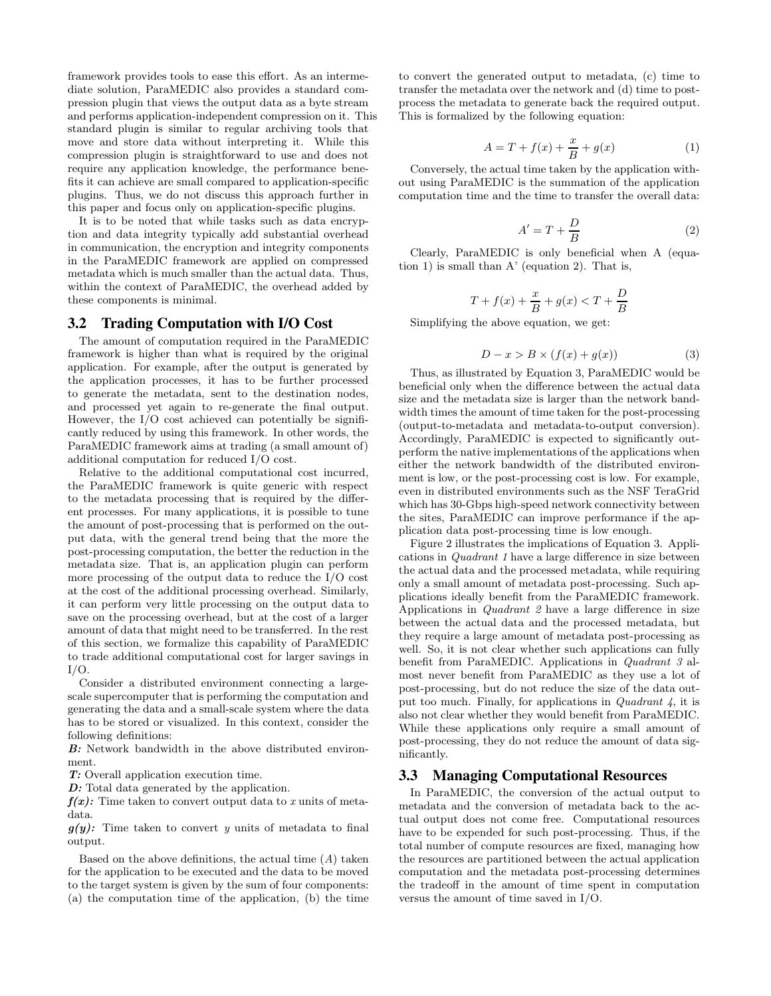framework provides tools to ease this effort. As an intermediate solution, ParaMEDIC also provides a standard compression plugin that views the output data as a byte stream and performs application-independent compression on it. This standard plugin is similar to regular archiving tools that move and store data without interpreting it. While this compression plugin is straightforward to use and does not require any application knowledge, the performance benefits it can achieve are small compared to application-specific plugins. Thus, we do not discuss this approach further in this paper and focus only on application-specific plugins.

It is to be noted that while tasks such as data encryption and data integrity typically add substantial overhead in communication, the encryption and integrity components in the ParaMEDIC framework are applied on compressed metadata which is much smaller than the actual data. Thus, within the context of ParaMEDIC, the overhead added by these components is minimal.

#### **3.2 Trading Computation with I/O Cost**

The amount of computation required in the ParaMEDIC framework is higher than what is required by the original application. For example, after the output is generated by the application processes, it has to be further processed to generate the metadata, sent to the destination nodes, and processed yet again to re-generate the final output. However, the I/O cost achieved can potentially be significantly reduced by using this framework. In other words, the ParaMEDIC framework aims at trading (a small amount of) additional computation for reduced I/O cost.

Relative to the additional computational cost incurred, the ParaMEDIC framework is quite generic with respect to the metadata processing that is required by the different processes. For many applications, it is possible to tune the amount of post-processing that is performed on the output data, with the general trend being that the more the post-processing computation, the better the reduction in the metadata size. That is, an application plugin can perform more processing of the output data to reduce the I/O cost at the cost of the additional processing overhead. Similarly, it can perform very little processing on the output data to save on the processing overhead, but at the cost of a larger amount of data that might need to be transferred. In the rest of this section, we formalize this capability of ParaMEDIC to trade additional computational cost for larger savings in  $I/O$ .

Consider a distributed environment connecting a largescale supercomputer that is performing the computation and generating the data and a small-scale system where the data has to be stored or visualized. In this context, consider the following definitions:

B: Network bandwidth in the above distributed environment.

T: Overall application execution time.

D: Total data generated by the application.

 $f(x)$ : Time taken to convert output data to x units of metadata.

 $g(y)$ : Time taken to convert y units of metadata to final output.

Based on the above definitions, the actual time  $(A)$  taken for the application to be executed and the data to be moved to the target system is given by the sum of four components: (a) the computation time of the application, (b) the time to convert the generated output to metadata, (c) time to transfer the metadata over the network and (d) time to postprocess the metadata to generate back the required output. This is formalized by the following equation:

$$
A = T + f(x) + \frac{x}{B} + g(x)
$$
 (1)

Conversely, the actual time taken by the application without using ParaMEDIC is the summation of the application computation time and the time to transfer the overall data:

$$
A' = T + \frac{D}{B} \tag{2}
$$

Clearly, ParaMEDIC is only beneficial when A (equation 1) is small than A' (equation 2). That is,

$$
T + f(x) + \frac{x}{B} + g(x) < T + \frac{D}{B}
$$

Simplifying the above equation, we get:

$$
D - x > B \times (f(x) + g(x))
$$
 (3)

Thus, as illustrated by Equation 3, ParaMEDIC would be beneficial only when the difference between the actual data size and the metadata size is larger than the network bandwidth times the amount of time taken for the post-processing (output-to-metadata and metadata-to-output conversion). Accordingly, ParaMEDIC is expected to significantly outperform the native implementations of the applications when either the network bandwidth of the distributed environment is low, or the post-processing cost is low. For example, even in distributed environments such as the NSF TeraGrid which has 30-Gbps high-speed network connectivity between the sites, ParaMEDIC can improve performance if the application data post-processing time is low enough.

Figure 2 illustrates the implications of Equation 3. Applications in Quadrant 1 have a large difference in size between the actual data and the processed metadata, while requiring only a small amount of metadata post-processing. Such applications ideally benefit from the ParaMEDIC framework. Applications in Quadrant 2 have a large difference in size between the actual data and the processed metadata, but they require a large amount of metadata post-processing as well. So, it is not clear whether such applications can fully benefit from ParaMEDIC. Applications in Quadrant 3 almost never benefit from ParaMEDIC as they use a lot of post-processing, but do not reduce the size of the data output too much. Finally, for applications in Quadrant 4, it is also not clear whether they would benefit from ParaMEDIC. While these applications only require a small amount of post-processing, they do not reduce the amount of data significantly.

### **3.3 Managing Computational Resources**

In ParaMEDIC, the conversion of the actual output to metadata and the conversion of metadata back to the actual output does not come free. Computational resources have to be expended for such post-processing. Thus, if the total number of compute resources are fixed, managing how the resources are partitioned between the actual application computation and the metadata post-processing determines the tradeoff in the amount of time spent in computation versus the amount of time saved in I/O.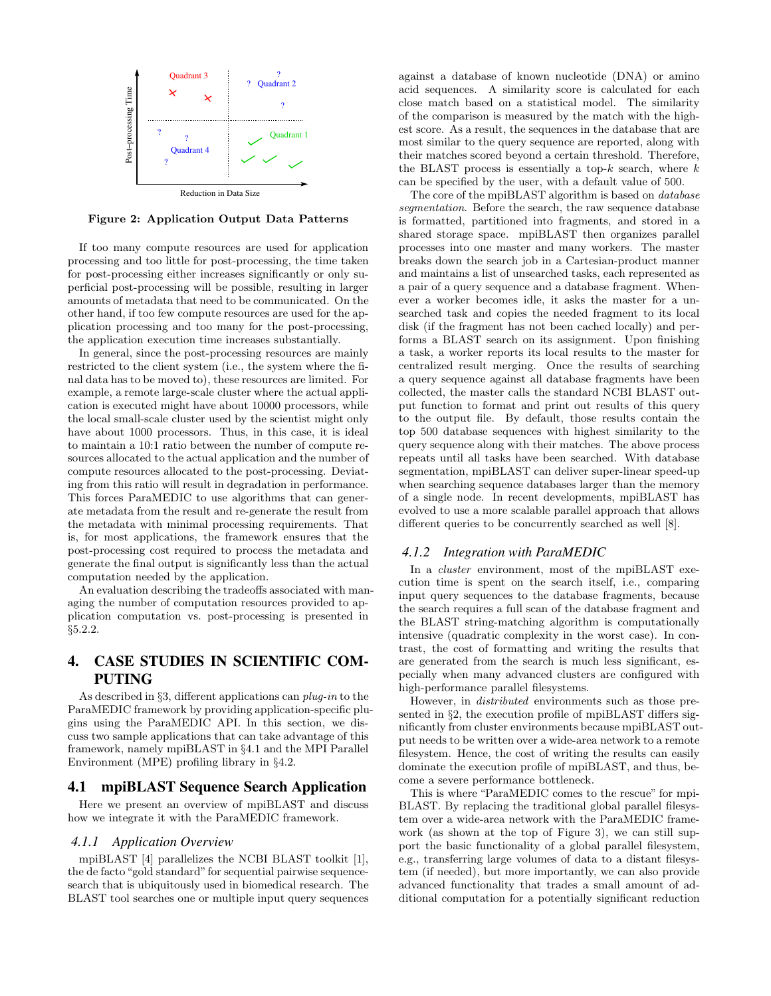

Figure 2: Application Output Data Patterns

If too many compute resources are used for application processing and too little for post-processing, the time taken for post-processing either increases significantly or only superficial post-processing will be possible, resulting in larger amounts of metadata that need to be communicated. On the other hand, if too few compute resources are used for the application processing and too many for the post-processing, the application execution time increases substantially.

In general, since the post-processing resources are mainly restricted to the client system (i.e., the system where the final data has to be moved to), these resources are limited. For example, a remote large-scale cluster where the actual application is executed might have about 10000 processors, while the local small-scale cluster used by the scientist might only have about 1000 processors. Thus, in this case, it is ideal to maintain a 10:1 ratio between the number of compute resources allocated to the actual application and the number of compute resources allocated to the post-processing. Deviating from this ratio will result in degradation in performance. This forces ParaMEDIC to use algorithms that can generate metadata from the result and re-generate the result from the metadata with minimal processing requirements. That is, for most applications, the framework ensures that the post-processing cost required to process the metadata and generate the final output is significantly less than the actual computation needed by the application.

An evaluation describing the tradeoffs associated with managing the number of computation resources provided to application computation vs. post-processing is presented in §5.2.2.

# **4. CASE STUDIES IN SCIENTIFIC COM-PUTING**

As described in  $\S3$ , different applications can plug-in to the ParaMEDIC framework by providing application-specific plugins using the ParaMEDIC API. In this section, we discuss two sample applications that can take advantage of this framework, namely mpiBLAST in §4.1 and the MPI Parallel Environment (MPE) profiling library in §4.2.

#### **4.1 mpiBLAST Sequence Search Application**

Here we present an overview of mpiBLAST and discuss how we integrate it with the ParaMEDIC framework.

#### *4.1.1 Application Overview*

mpiBLAST [4] parallelizes the NCBI BLAST toolkit [1], the de facto "gold standard" for sequential pairwise sequencesearch that is ubiquitously used in biomedical research. The BLAST tool searches one or multiple input query sequences

against a database of known nucleotide (DNA) or amino acid sequences. A similarity score is calculated for each close match based on a statistical model. The similarity of the comparison is measured by the match with the highest score. As a result, the sequences in the database that are most similar to the query sequence are reported, along with their matches scored beyond a certain threshold. Therefore, the BLAST process is essentially a top- $k$  search, where  $k$ can be specified by the user, with a default value of 500.

The core of the mpiBLAST algorithm is based on *database* segmentation. Before the search, the raw sequence database is formatted, partitioned into fragments, and stored in a shared storage space. mpiBLAST then organizes parallel processes into one master and many workers. The master breaks down the search job in a Cartesian-product manner and maintains a list of unsearched tasks, each represented as a pair of a query sequence and a database fragment. Whenever a worker becomes idle, it asks the master for a unsearched task and copies the needed fragment to its local disk (if the fragment has not been cached locally) and performs a BLAST search on its assignment. Upon finishing a task, a worker reports its local results to the master for centralized result merging. Once the results of searching a query sequence against all database fragments have been collected, the master calls the standard NCBI BLAST output function to format and print out results of this query to the output file. By default, those results contain the top 500 database sequences with highest similarity to the query sequence along with their matches. The above process repeats until all tasks have been searched. With database segmentation, mpiBLAST can deliver super-linear speed-up when searching sequence databases larger than the memory of a single node. In recent developments, mpiBLAST has evolved to use a more scalable parallel approach that allows different queries to be concurrently searched as well [8].

## *4.1.2 Integration with ParaMEDIC*

In a *cluster* environment, most of the mpiBLAST execution time is spent on the search itself, i.e., comparing input query sequences to the database fragments, because the search requires a full scan of the database fragment and the BLAST string-matching algorithm is computationally intensive (quadratic complexity in the worst case). In contrast, the cost of formatting and writing the results that are generated from the search is much less significant, especially when many advanced clusters are configured with high-performance parallel filesystems.

However, in distributed environments such as those presented in §2, the execution profile of mpiBLAST differs significantly from cluster environments because mpiBLAST output needs to be written over a wide-area network to a remote filesystem. Hence, the cost of writing the results can easily dominate the execution profile of mpiBLAST, and thus, become a severe performance bottleneck.

This is where "ParaMEDIC comes to the rescue" for mpi-BLAST. By replacing the traditional global parallel filesystem over a wide-area network with the ParaMEDIC framework (as shown at the top of Figure 3), we can still support the basic functionality of a global parallel filesystem, e.g., transferring large volumes of data to a distant filesystem (if needed), but more importantly, we can also provide advanced functionality that trades a small amount of additional computation for a potentially significant reduction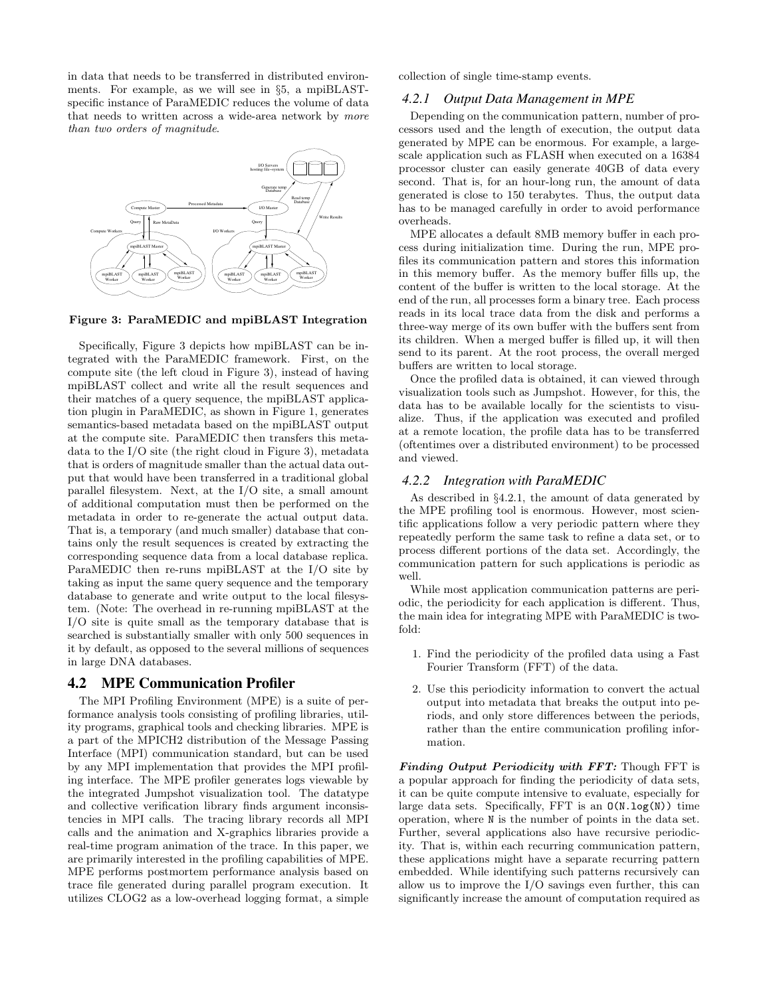in data that needs to be transferred in distributed environments. For example, as we will see in §5, a mpiBLASTspecific instance of ParaMEDIC reduces the volume of data that needs to written across a wide-area network by more than two orders of magnitude.



#### Figure 3: ParaMEDIC and mpiBLAST Integration

Specifically, Figure 3 depicts how mpiBLAST can be integrated with the ParaMEDIC framework. First, on the compute site (the left cloud in Figure 3), instead of having mpiBLAST collect and write all the result sequences and their matches of a query sequence, the mpiBLAST application plugin in ParaMEDIC, as shown in Figure 1, generates semantics-based metadata based on the mpiBLAST output at the compute site. ParaMEDIC then transfers this metadata to the I/O site (the right cloud in Figure 3), metadata that is orders of magnitude smaller than the actual data output that would have been transferred in a traditional global parallel filesystem. Next, at the I/O site, a small amount of additional computation must then be performed on the metadata in order to re-generate the actual output data. That is, a temporary (and much smaller) database that contains only the result sequences is created by extracting the corresponding sequence data from a local database replica. ParaMEDIC then re-runs mpiBLAST at the I/O site by taking as input the same query sequence and the temporary database to generate and write output to the local filesystem. (Note: The overhead in re-running mpiBLAST at the I/O site is quite small as the temporary database that is searched is substantially smaller with only 500 sequences in it by default, as opposed to the several millions of sequences in large DNA databases.

### **4.2 MPE Communication Profiler**

The MPI Profiling Environment (MPE) is a suite of performance analysis tools consisting of profiling libraries, utility programs, graphical tools and checking libraries. MPE is a part of the MPICH2 distribution of the Message Passing Interface (MPI) communication standard, but can be used by any MPI implementation that provides the MPI profiling interface. The MPE profiler generates logs viewable by the integrated Jumpshot visualization tool. The datatype and collective verification library finds argument inconsistencies in MPI calls. The tracing library records all MPI calls and the animation and X-graphics libraries provide a real-time program animation of the trace. In this paper, we are primarily interested in the profiling capabilities of MPE. MPE performs postmortem performance analysis based on trace file generated during parallel program execution. It utilizes CLOG2 as a low-overhead logging format, a simple

collection of single time-stamp events.

#### *4.2.1 Output Data Management in MPE*

Depending on the communication pattern, number of processors used and the length of execution, the output data generated by MPE can be enormous. For example, a largescale application such as FLASH when executed on a 16384 processor cluster can easily generate 40GB of data every second. That is, for an hour-long run, the amount of data generated is close to 150 terabytes. Thus, the output data has to be managed carefully in order to avoid performance overheads.

MPE allocates a default 8MB memory buffer in each process during initialization time. During the run, MPE profiles its communication pattern and stores this information in this memory buffer. As the memory buffer fills up, the content of the buffer is written to the local storage. At the end of the run, all processes form a binary tree. Each process reads in its local trace data from the disk and performs a three-way merge of its own buffer with the buffers sent from its children. When a merged buffer is filled up, it will then send to its parent. At the root process, the overall merged buffers are written to local storage.

Once the profiled data is obtained, it can viewed through visualization tools such as Jumpshot. However, for this, the data has to be available locally for the scientists to visualize. Thus, if the application was executed and profiled at a remote location, the profile data has to be transferred (oftentimes over a distributed environment) to be processed and viewed.

#### *4.2.2 Integration with ParaMEDIC*

As described in §4.2.1, the amount of data generated by the MPE profiling tool is enormous. However, most scientific applications follow a very periodic pattern where they repeatedly perform the same task to refine a data set, or to process different portions of the data set. Accordingly, the communication pattern for such applications is periodic as well.

While most application communication patterns are periodic, the periodicity for each application is different. Thus, the main idea for integrating MPE with ParaMEDIC is twofold:

- 1. Find the periodicity of the profiled data using a Fast Fourier Transform (FFT) of the data.
- 2. Use this periodicity information to convert the actual output into metadata that breaks the output into periods, and only store differences between the periods, rather than the entire communication profiling information.

Finding Output Periodicity with FFT: Though FFT is a popular approach for finding the periodicity of data sets, it can be quite compute intensive to evaluate, especially for large data sets. Specifically, FFT is an  $O(N.log(N))$  time operation, where N is the number of points in the data set. Further, several applications also have recursive periodicity. That is, within each recurring communication pattern, these applications might have a separate recurring pattern embedded. While identifying such patterns recursively can allow us to improve the I/O savings even further, this can significantly increase the amount of computation required as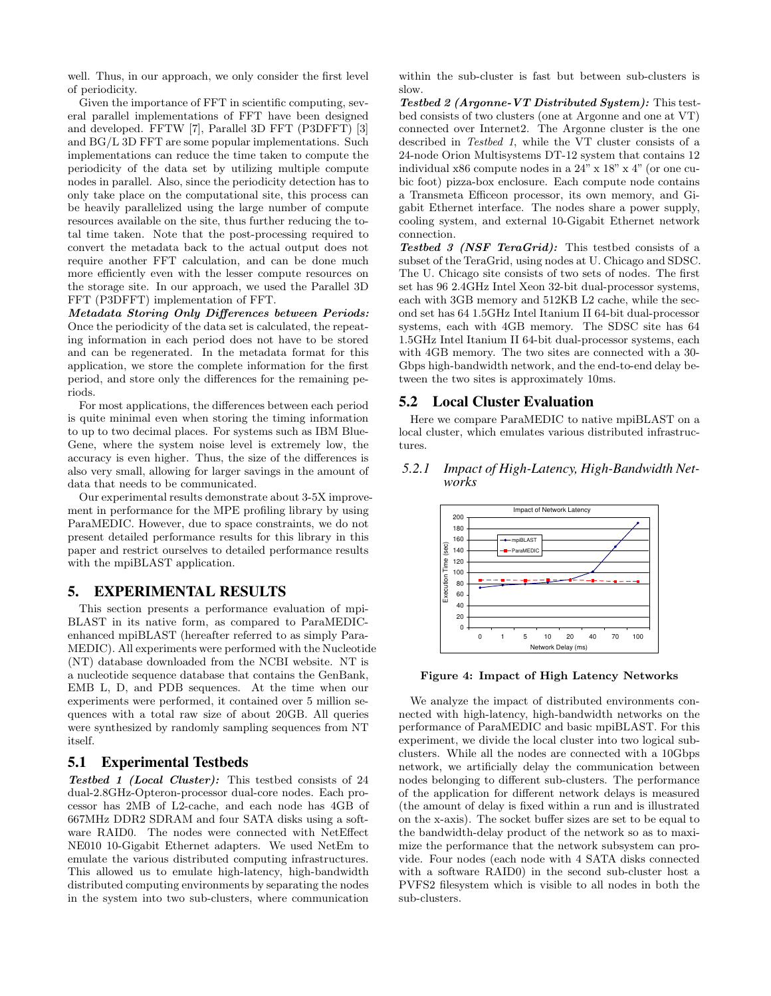well. Thus, in our approach, we only consider the first level of periodicity.

Given the importance of FFT in scientific computing, several parallel implementations of FFT have been designed and developed. FFTW [7], Parallel 3D FFT (P3DFFT) [3] and BG/L 3D FFT are some popular implementations. Such implementations can reduce the time taken to compute the periodicity of the data set by utilizing multiple compute nodes in parallel. Also, since the periodicity detection has to only take place on the computational site, this process can be heavily parallelized using the large number of compute resources available on the site, thus further reducing the total time taken. Note that the post-processing required to convert the metadata back to the actual output does not require another FFT calculation, and can be done much more efficiently even with the lesser compute resources on the storage site. In our approach, we used the Parallel 3D FFT (P3DFFT) implementation of FFT.

Metadata Storing Only Differences between Periods: Once the periodicity of the data set is calculated, the repeating information in each period does not have to be stored and can be regenerated. In the metadata format for this application, we store the complete information for the first period, and store only the differences for the remaining periods.

For most applications, the differences between each period is quite minimal even when storing the timing information to up to two decimal places. For systems such as IBM Blue-Gene, where the system noise level is extremely low, the accuracy is even higher. Thus, the size of the differences is also very small, allowing for larger savings in the amount of data that needs to be communicated.

Our experimental results demonstrate about 3-5X improvement in performance for the MPE profiling library by using ParaMEDIC. However, due to space constraints, we do not present detailed performance results for this library in this paper and restrict ourselves to detailed performance results with the mpiBLAST application.

### **5. EXPERIMENTAL RESULTS**

This section presents a performance evaluation of mpi-BLAST in its native form, as compared to ParaMEDICenhanced mpiBLAST (hereafter referred to as simply Para-MEDIC). All experiments were performed with the Nucleotide (NT) database downloaded from the NCBI website. NT is a nucleotide sequence database that contains the GenBank, EMB L, D, and PDB sequences. At the time when our experiments were performed, it contained over 5 million sequences with a total raw size of about 20GB. All queries were synthesized by randomly sampling sequences from NT itself.

## **5.1 Experimental Testbeds**

Testbed 1 (Local Cluster): This testbed consists of 24 dual-2.8GHz-Opteron-processor dual-core nodes. Each processor has 2MB of L2-cache, and each node has 4GB of 667MHz DDR2 SDRAM and four SATA disks using a software RAID0. The nodes were connected with NetEffect NE010 10-Gigabit Ethernet adapters. We used NetEm to emulate the various distributed computing infrastructures. This allowed us to emulate high-latency, high-bandwidth distributed computing environments by separating the nodes in the system into two sub-clusters, where communication

within the sub-cluster is fast but between sub-clusters is slow.

Testbed 2 (Argonne-VT Distributed System): This testbed consists of two clusters (one at Argonne and one at VT) connected over Internet2. The Argonne cluster is the one described in Testbed 1, while the VT cluster consists of a 24-node Orion Multisystems DT-12 system that contains 12 individual x86 compute nodes in a  $24" \times 18" \times 4"$  (or one cubic foot) pizza-box enclosure. Each compute node contains a Transmeta Efficeon processor, its own memory, and Gigabit Ethernet interface. The nodes share a power supply, cooling system, and external 10-Gigabit Ethernet network connection.

Testbed 3 (NSF TeraGrid): This testbed consists of a subset of the TeraGrid, using nodes at U. Chicago and SDSC. The U. Chicago site consists of two sets of nodes. The first set has 96 2.4GHz Intel Xeon 32-bit dual-processor systems, each with 3GB memory and 512KB L2 cache, while the second set has 64 1.5GHz Intel Itanium II 64-bit dual-processor systems, each with 4GB memory. The SDSC site has 64 1.5GHz Intel Itanium II 64-bit dual-processor systems, each with 4GB memory. The two sites are connected with a 30- Gbps high-bandwidth network, and the end-to-end delay between the two sites is approximately 10ms.

#### **5.2 Local Cluster Evaluation**

Here we compare ParaMEDIC to native mpiBLAST on a local cluster, which emulates various distributed infrastructures.

#### *5.2.1 Impact of High-Latency, High-Bandwidth Networks*



Figure 4: Impact of High Latency Networks

We analyze the impact of distributed environments connected with high-latency, high-bandwidth networks on the performance of ParaMEDIC and basic mpiBLAST. For this experiment, we divide the local cluster into two logical subclusters. While all the nodes are connected with a 10Gbps network, we artificially delay the communication between nodes belonging to different sub-clusters. The performance of the application for different network delays is measured (the amount of delay is fixed within a run and is illustrated on the x-axis). The socket buffer sizes are set to be equal to the bandwidth-delay product of the network so as to maximize the performance that the network subsystem can provide. Four nodes (each node with 4 SATA disks connected with a software RAID0) in the second sub-cluster host a PVFS2 filesystem which is visible to all nodes in both the sub-clusters.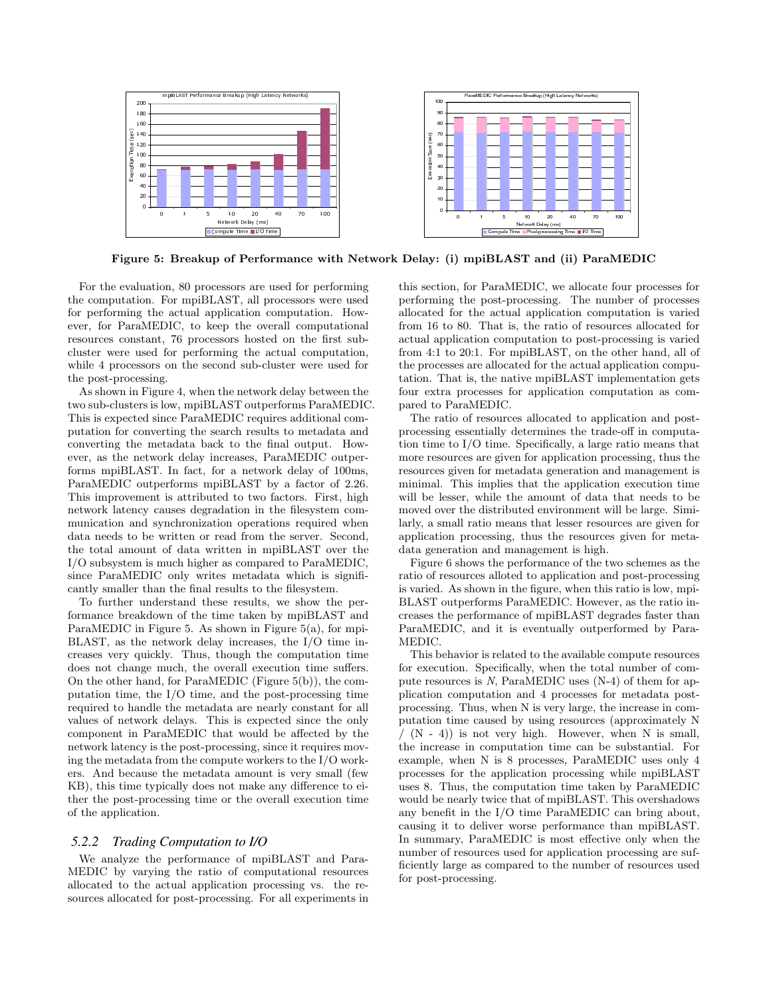

Figure 5: Breakup of Performance with Network Delay: (i) mpiBLAST and (ii) ParaMEDIC

For the evaluation, 80 processors are used for performing the computation. For mpiBLAST, all processors were used for performing the actual application computation. However, for ParaMEDIC, to keep the overall computational resources constant, 76 processors hosted on the first subcluster were used for performing the actual computation, while 4 processors on the second sub-cluster were used for the post-processing.

As shown in Figure 4, when the network delay between the two sub-clusters is low, mpiBLAST outperforms ParaMEDIC. This is expected since ParaMEDIC requires additional computation for converting the search results to metadata and converting the metadata back to the final output. However, as the network delay increases, ParaMEDIC outperforms mpiBLAST. In fact, for a network delay of 100ms, ParaMEDIC outperforms mpiBLAST by a factor of 2.26. This improvement is attributed to two factors. First, high network latency causes degradation in the filesystem communication and synchronization operations required when data needs to be written or read from the server. Second, the total amount of data written in mpiBLAST over the I/O subsystem is much higher as compared to ParaMEDIC, since ParaMEDIC only writes metadata which is significantly smaller than the final results to the filesystem.

To further understand these results, we show the performance breakdown of the time taken by mpiBLAST and ParaMEDIC in Figure 5. As shown in Figure 5(a), for mpi-BLAST, as the network delay increases, the I/O time increases very quickly. Thus, though the computation time does not change much, the overall execution time suffers. On the other hand, for ParaMEDIC (Figure 5(b)), the computation time, the I/O time, and the post-processing time required to handle the metadata are nearly constant for all values of network delays. This is expected since the only component in ParaMEDIC that would be affected by the network latency is the post-processing, since it requires moving the metadata from the compute workers to the I/O workers. And because the metadata amount is very small (few KB), this time typically does not make any difference to either the post-processing time or the overall execution time of the application.

#### *5.2.2 Trading Computation to I/O*

We analyze the performance of mpiBLAST and Para-MEDIC by varying the ratio of computational resources allocated to the actual application processing vs. the resources allocated for post-processing. For all experiments in this section, for ParaMEDIC, we allocate four processes for performing the post-processing. The number of processes allocated for the actual application computation is varied from 16 to 80. That is, the ratio of resources allocated for actual application computation to post-processing is varied from 4:1 to 20:1. For mpiBLAST, on the other hand, all of the processes are allocated for the actual application computation. That is, the native mpiBLAST implementation gets four extra processes for application computation as compared to ParaMEDIC.

The ratio of resources allocated to application and postprocessing essentially determines the trade-off in computation time to I/O time. Specifically, a large ratio means that more resources are given for application processing, thus the resources given for metadata generation and management is minimal. This implies that the application execution time will be lesser, while the amount of data that needs to be moved over the distributed environment will be large. Similarly, a small ratio means that lesser resources are given for application processing, thus the resources given for metadata generation and management is high.

Figure 6 shows the performance of the two schemes as the ratio of resources alloted to application and post-processing is varied. As shown in the figure, when this ratio is low, mpi-BLAST outperforms ParaMEDIC. However, as the ratio increases the performance of mpiBLAST degrades faster than ParaMEDIC, and it is eventually outperformed by Para-MEDIC.

This behavior is related to the available compute resources for execution. Specifically, when the total number of compute resources is N, ParaMEDIC uses (N-4) of them for application computation and 4 processes for metadata postprocessing. Thus, when N is very large, the increase in computation time caused by using resources (approximately N  $/(N - 4)$  is not very high. However, when N is small, the increase in computation time can be substantial. For example, when N is 8 processes, ParaMEDIC uses only 4 processes for the application processing while mpiBLAST uses 8. Thus, the computation time taken by ParaMEDIC would be nearly twice that of mpiBLAST. This overshadows any benefit in the I/O time ParaMEDIC can bring about, causing it to deliver worse performance than mpiBLAST. In summary, ParaMEDIC is most effective only when the number of resources used for application processing are sufficiently large as compared to the number of resources used for post-processing.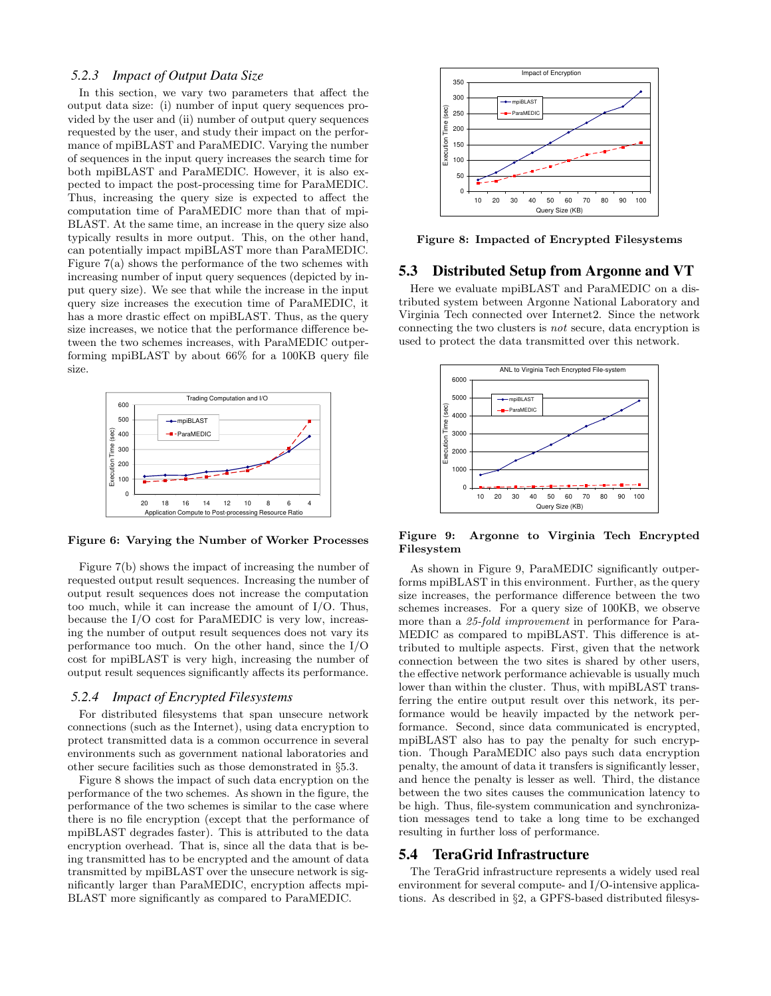## *5.2.3 Impact of Output Data Size*

In this section, we vary two parameters that affect the output data size: (i) number of input query sequences provided by the user and (ii) number of output query sequences requested by the user, and study their impact on the performance of mpiBLAST and ParaMEDIC. Varying the number of sequences in the input query increases the search time for both mpiBLAST and ParaMEDIC. However, it is also expected to impact the post-processing time for ParaMEDIC. Thus, increasing the query size is expected to affect the computation time of ParaMEDIC more than that of mpi-BLAST. At the same time, an increase in the query size also typically results in more output. This, on the other hand, can potentially impact mpiBLAST more than ParaMEDIC. Figure 7(a) shows the performance of the two schemes with increasing number of input query sequences (depicted by input query size). We see that while the increase in the input query size increases the execution time of ParaMEDIC, it has a more drastic effect on mpiBLAST. Thus, as the query size increases, we notice that the performance difference between the two schemes increases, with ParaMEDIC outperforming mpiBLAST by about 66% for a 100KB query file size.



Figure 6: Varying the Number of Worker Processes

Figure 7(b) shows the impact of increasing the number of requested output result sequences. Increasing the number of output result sequences does not increase the computation too much, while it can increase the amount of I/O. Thus, because the I/O cost for ParaMEDIC is very low, increasing the number of output result sequences does not vary its performance too much. On the other hand, since the I/O cost for mpiBLAST is very high, increasing the number of output result sequences significantly affects its performance.

#### *5.2.4 Impact of Encrypted Filesystems*

For distributed filesystems that span unsecure network connections (such as the Internet), using data encryption to protect transmitted data is a common occurrence in several environments such as government national laboratories and other secure facilities such as those demonstrated in §5.3.

Figure 8 shows the impact of such data encryption on the performance of the two schemes. As shown in the figure, the performance of the two schemes is similar to the case where there is no file encryption (except that the performance of mpiBLAST degrades faster). This is attributed to the data encryption overhead. That is, since all the data that is being transmitted has to be encrypted and the amount of data transmitted by mpiBLAST over the unsecure network is significantly larger than ParaMEDIC, encryption affects mpi-BLAST more significantly as compared to ParaMEDIC.



Figure 8: Impacted of Encrypted Filesystems

#### **5.3 Distributed Setup from Argonne and VT**

Here we evaluate mpiBLAST and ParaMEDIC on a distributed system between Argonne National Laboratory and Virginia Tech connected over Internet2. Since the network connecting the two clusters is not secure, data encryption is used to protect the data transmitted over this network.



Figure 9: Argonne to Virginia Tech Encrypted Filesystem

As shown in Figure 9, ParaMEDIC significantly outperforms mpiBLAST in this environment. Further, as the query size increases, the performance difference between the two schemes increases. For a query size of 100KB, we observe more than a 25-fold improvement in performance for Para-MEDIC as compared to mpiBLAST. This difference is attributed to multiple aspects. First, given that the network connection between the two sites is shared by other users, the effective network performance achievable is usually much lower than within the cluster. Thus, with mpiBLAST transferring the entire output result over this network, its performance would be heavily impacted by the network performance. Second, since data communicated is encrypted, mpiBLAST also has to pay the penalty for such encryption. Though ParaMEDIC also pays such data encryption penalty, the amount of data it transfers is significantly lesser, and hence the penalty is lesser as well. Third, the distance between the two sites causes the communication latency to be high. Thus, file-system communication and synchronization messages tend to take a long time to be exchanged resulting in further loss of performance.

### **5.4 TeraGrid Infrastructure**

The TeraGrid infrastructure represents a widely used real environment for several compute- and I/O-intensive applications. As described in §2, a GPFS-based distributed filesys-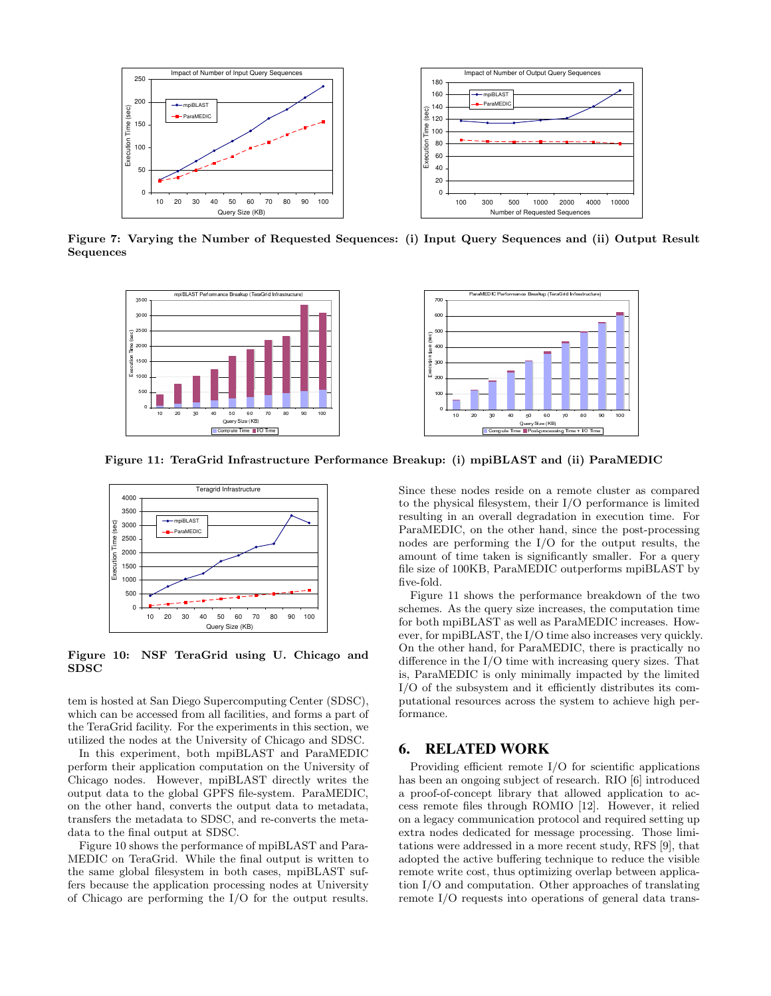

Figure 7: Varying the Number of Requested Sequences: (i) Input Query Sequences and (ii) Output Result Sequences



Figure 11: TeraGrid Infrastructure Performance Breakup: (i) mpiBLAST and (ii) ParaMEDIC



Figure 10: NSF TeraGrid using U. Chicago and SDSC

tem is hosted at San Diego Supercomputing Center (SDSC), which can be accessed from all facilities, and forms a part of the TeraGrid facility. For the experiments in this section, we utilized the nodes at the University of Chicago and SDSC.

In this experiment, both mpiBLAST and ParaMEDIC perform their application computation on the University of Chicago nodes. However, mpiBLAST directly writes the output data to the global GPFS file-system. ParaMEDIC, on the other hand, converts the output data to metadata, transfers the metadata to SDSC, and re-converts the metadata to the final output at SDSC.

Figure 10 shows the performance of mpiBLAST and Para-MEDIC on TeraGrid. While the final output is written to the same global filesystem in both cases, mpiBLAST suffers because the application processing nodes at University of Chicago are performing the I/O for the output results.

Since these nodes reside on a remote cluster as compared to the physical filesystem, their I/O performance is limited resulting in an overall degradation in execution time. For ParaMEDIC, on the other hand, since the post-processing nodes are performing the I/O for the output results, the amount of time taken is significantly smaller. For a query file size of 100KB, ParaMEDIC outperforms mpiBLAST by five-fold.

Figure 11 shows the performance breakdown of the two schemes. As the query size increases, the computation time for both mpiBLAST as well as ParaMEDIC increases. However, for mpiBLAST, the I/O time also increases very quickly. On the other hand, for ParaMEDIC, there is practically no difference in the I/O time with increasing query sizes. That is, ParaMEDIC is only minimally impacted by the limited I/O of the subsystem and it efficiently distributes its computational resources across the system to achieve high performance.

## **6. RELATED WORK**

Providing efficient remote I/O for scientific applications has been an ongoing subject of research. RIO [6] introduced a proof-of-concept library that allowed application to access remote files through ROMIO [12]. However, it relied on a legacy communication protocol and required setting up extra nodes dedicated for message processing. Those limitations were addressed in a more recent study, RFS [9], that adopted the active buffering technique to reduce the visible remote write cost, thus optimizing overlap between application I/O and computation. Other approaches of translating remote I/O requests into operations of general data trans